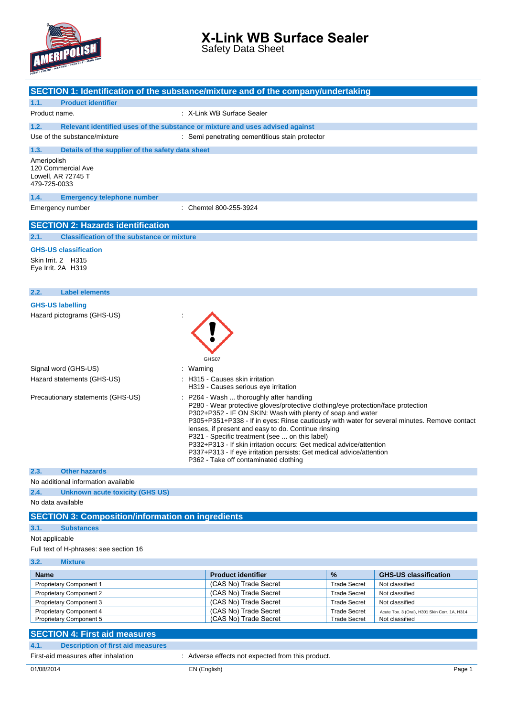

Safety Data Sheet

|                                                                         | SECTION 1: Identification of the substance/mixture and of the company/undertaking                                                                                                                                                                                                                                                                                                                                                                                                                                                                                                         |
|-------------------------------------------------------------------------|-------------------------------------------------------------------------------------------------------------------------------------------------------------------------------------------------------------------------------------------------------------------------------------------------------------------------------------------------------------------------------------------------------------------------------------------------------------------------------------------------------------------------------------------------------------------------------------------|
| <b>Product identifier</b><br>1.1.                                       |                                                                                                                                                                                                                                                                                                                                                                                                                                                                                                                                                                                           |
| Product name.                                                           | : X-Link WB Surface Sealer                                                                                                                                                                                                                                                                                                                                                                                                                                                                                                                                                                |
|                                                                         |                                                                                                                                                                                                                                                                                                                                                                                                                                                                                                                                                                                           |
| 1.2.<br>Use of the substance/mixture                                    | Relevant identified uses of the substance or mixture and uses advised against                                                                                                                                                                                                                                                                                                                                                                                                                                                                                                             |
|                                                                         | : Semi penetrating cementitious stain protector                                                                                                                                                                                                                                                                                                                                                                                                                                                                                                                                           |
| 1.3.<br>Details of the supplier of the safety data sheet                |                                                                                                                                                                                                                                                                                                                                                                                                                                                                                                                                                                                           |
| Ameripolish<br>120 Commercial Ave<br>Lowell, AR 72745 T<br>479-725-0033 |                                                                                                                                                                                                                                                                                                                                                                                                                                                                                                                                                                                           |
| <b>Emergency telephone number</b><br>1.4.                               |                                                                                                                                                                                                                                                                                                                                                                                                                                                                                                                                                                                           |
| Emergency number                                                        | : Chemtel 800-255-3924                                                                                                                                                                                                                                                                                                                                                                                                                                                                                                                                                                    |
| <b>SECTION 2: Hazards identification</b>                                |                                                                                                                                                                                                                                                                                                                                                                                                                                                                                                                                                                                           |
| <b>Classification of the substance or mixture</b><br>2.1.               |                                                                                                                                                                                                                                                                                                                                                                                                                                                                                                                                                                                           |
| <b>GHS-US classification</b>                                            |                                                                                                                                                                                                                                                                                                                                                                                                                                                                                                                                                                                           |
| Skin Irrit. 2 H315                                                      |                                                                                                                                                                                                                                                                                                                                                                                                                                                                                                                                                                                           |
| Eye Irrit. 2A H319                                                      |                                                                                                                                                                                                                                                                                                                                                                                                                                                                                                                                                                                           |
|                                                                         |                                                                                                                                                                                                                                                                                                                                                                                                                                                                                                                                                                                           |
| <b>Label elements</b><br>2.2.                                           |                                                                                                                                                                                                                                                                                                                                                                                                                                                                                                                                                                                           |
| <b>GHS-US labelling</b>                                                 |                                                                                                                                                                                                                                                                                                                                                                                                                                                                                                                                                                                           |
| Hazard pictograms (GHS-US)                                              |                                                                                                                                                                                                                                                                                                                                                                                                                                                                                                                                                                                           |
|                                                                         | GHS07                                                                                                                                                                                                                                                                                                                                                                                                                                                                                                                                                                                     |
| Signal word (GHS-US)                                                    | Warning                                                                                                                                                                                                                                                                                                                                                                                                                                                                                                                                                                                   |
| Hazard statements (GHS-US)                                              | H315 - Causes skin irritation<br>H319 - Causes serious eye irritation                                                                                                                                                                                                                                                                                                                                                                                                                                                                                                                     |
| Precautionary statements (GHS-US)                                       | P264 - Wash  thoroughly after handling<br>P280 - Wear protective gloves/protective clothing/eye protection/face protection<br>P302+P352 - IF ON SKIN: Wash with plenty of soap and water<br>P305+P351+P338 - If in eyes: Rinse cautiously with water for several minutes. Remove contact<br>lenses, if present and easy to do. Continue rinsing<br>P321 - Specific treatment (see  on this label)<br>P332+P313 - If skin irritation occurs: Get medical advice/attention<br>P337+P313 - If eye irritation persists: Get medical advice/attention<br>P362 - Take off contaminated clothing |
| <b>Other hazards</b><br>2.3.                                            |                                                                                                                                                                                                                                                                                                                                                                                                                                                                                                                                                                                           |
| No additional information available                                     |                                                                                                                                                                                                                                                                                                                                                                                                                                                                                                                                                                                           |
| 2.4.<br><b>Unknown acute toxicity (GHS US)</b>                          |                                                                                                                                                                                                                                                                                                                                                                                                                                                                                                                                                                                           |
| No data available                                                       |                                                                                                                                                                                                                                                                                                                                                                                                                                                                                                                                                                                           |
| <b>SECTION 3: Composition/information on ingredients</b>                |                                                                                                                                                                                                                                                                                                                                                                                                                                                                                                                                                                                           |
| 3.1.<br><b>Substances</b>                                               |                                                                                                                                                                                                                                                                                                                                                                                                                                                                                                                                                                                           |
| Not applicable                                                          |                                                                                                                                                                                                                                                                                                                                                                                                                                                                                                                                                                                           |
| Full text of H-phrases: see section 16                                  |                                                                                                                                                                                                                                                                                                                                                                                                                                                                                                                                                                                           |
| 3.2.<br><b>Mixture</b>                                                  |                                                                                                                                                                                                                                                                                                                                                                                                                                                                                                                                                                                           |

| .                              |                           |                     |                                               |
|--------------------------------|---------------------------|---------------------|-----------------------------------------------|
|                                |                           |                     |                                               |
| <b>Name</b>                    | <b>Product identifier</b> | $\frac{9}{6}$       | <b>GHS-US classification</b>                  |
| <b>Proprietary Component 1</b> | (CAS No) Trade Secret     | <b>Trade Secret</b> | Not classified                                |
| <b>Proprietary Component 2</b> | (CAS No) Trade Secret     | <b>Trade Secret</b> | Not classified                                |
| Proprietary Component 3        | (CAS No) Trade Secret     | <b>Trade Secret</b> | Not classified                                |
| Proprietary Component 4        | (CAS No) Trade Secret     | <b>Trade Secret</b> | Acute Tox. 3 (Oral), H301 Skin Corr. 1A, H314 |
| <b>Proprietary Component 5</b> | (CAS No) Trade Secret     | <b>Trade Secret</b> | Not classified                                |

#### **SECTION 4: First aid measures 4.1. Description of first aid measures**

First-aid measures after inhalation : Adverse effects not expected from this product.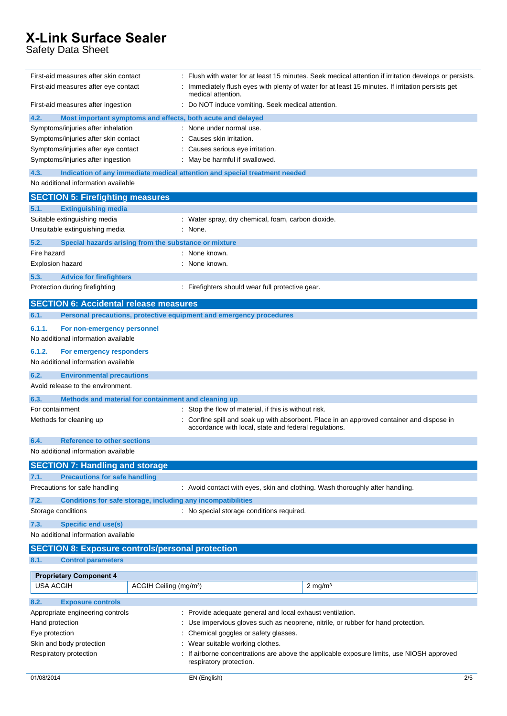Safety Data Sheet

| First-aid measures after skin contact                         |                                    |                                                                               | Flush with water for at least 15 minutes. Seek medical attention if irritation develops or persists. |
|---------------------------------------------------------------|------------------------------------|-------------------------------------------------------------------------------|------------------------------------------------------------------------------------------------------|
| First-aid measures after eye contact                          |                                    | medical attention.                                                            | Immediately flush eyes with plenty of water for at least 15 minutes. If irritation persists get      |
| First-aid measures after ingestion                            |                                    | Do NOT induce vomiting. Seek medical attention.                               |                                                                                                      |
| 4.2.                                                          |                                    | Most important symptoms and effects, both acute and delayed                   |                                                                                                      |
| Symptoms/injuries after inhalation                            |                                    | None under normal use.                                                        |                                                                                                      |
| Symptoms/injuries after skin contact                          |                                    | Causes skin irritation.                                                       |                                                                                                      |
| Symptoms/injuries after eye contact                           |                                    | Causes serious eye irritation.                                                |                                                                                                      |
| Symptoms/injuries after ingestion                             |                                    | : May be harmful if swallowed.                                                |                                                                                                      |
| 4.3.                                                          |                                    | Indication of any immediate medical attention and special treatment needed    |                                                                                                      |
| No additional information available                           |                                    |                                                                               |                                                                                                      |
| <b>SECTION 5: Firefighting measures</b>                       |                                    |                                                                               |                                                                                                      |
| <b>Extinguishing media</b><br>5.1.                            |                                    |                                                                               |                                                                                                      |
| Suitable extinguishing media                                  |                                    | : Water spray, dry chemical, foam, carbon dioxide.                            |                                                                                                      |
| Unsuitable extinguishing media                                |                                    | None.                                                                         |                                                                                                      |
| 5.2.<br>Special hazards arising from the substance or mixture |                                    |                                                                               |                                                                                                      |
| Fire hazard                                                   |                                    | None known.                                                                   |                                                                                                      |
| <b>Explosion hazard</b>                                       |                                    | None known.                                                                   |                                                                                                      |
| 5.3.<br><b>Advice for firefighters</b>                        |                                    |                                                                               |                                                                                                      |
| Protection during firefighting                                |                                    | : Firefighters should wear full protective gear.                              |                                                                                                      |
|                                                               |                                    |                                                                               |                                                                                                      |
| <b>SECTION 6: Accidental release measures</b>                 |                                    |                                                                               |                                                                                                      |
| 6.1.                                                          |                                    | Personal precautions, protective equipment and emergency procedures           |                                                                                                      |
| 6.1.1.<br>For non-emergency personnel                         |                                    |                                                                               |                                                                                                      |
| No additional information available                           |                                    |                                                                               |                                                                                                      |
| 6.1.2.<br>For emergency responders                            |                                    |                                                                               |                                                                                                      |
| No additional information available                           |                                    |                                                                               |                                                                                                      |
| 6.2.<br><b>Environmental precautions</b>                      |                                    |                                                                               |                                                                                                      |
| Avoid release to the environment.                             |                                    |                                                                               |                                                                                                      |
| 6.3.<br>Methods and material for containment and cleaning up  |                                    |                                                                               |                                                                                                      |
| For containment                                               |                                    | : Stop the flow of material, if this is without risk.                         |                                                                                                      |
| Methods for cleaning up                                       |                                    | accordance with local, state and federal regulations.                         | Confine spill and soak up with absorbent. Place in an approved container and dispose in              |
| 6.4.<br><b>Reference to other sections</b>                    |                                    |                                                                               |                                                                                                      |
| No additional information available                           |                                    |                                                                               |                                                                                                      |
| <b>SECTION 7: Handling and storage</b>                        |                                    |                                                                               |                                                                                                      |
| <b>Precautions for safe handling</b><br>7.1.                  |                                    |                                                                               |                                                                                                      |
| Precautions for safe handling                                 |                                    | : Avoid contact with eyes, skin and clothing. Wash thoroughly after handling. |                                                                                                      |
| 7.2.                                                          |                                    | Conditions for safe storage, including any incompatibilities                  |                                                                                                      |
| Storage conditions                                            |                                    | : No special storage conditions required.                                     |                                                                                                      |
|                                                               |                                    |                                                                               |                                                                                                      |
| 7.3.<br><b>Specific end use(s)</b>                            |                                    |                                                                               |                                                                                                      |
| No additional information available                           |                                    |                                                                               |                                                                                                      |
| <b>SECTION 8: Exposure controls/personal protection</b>       |                                    |                                                                               |                                                                                                      |
| 8.1.<br><b>Control parameters</b>                             |                                    |                                                                               |                                                                                                      |
| <b>Proprietary Component 4</b>                                |                                    |                                                                               |                                                                                                      |
| <b>USA ACGIH</b>                                              | ACGIH Ceiling (mg/m <sup>3</sup> ) |                                                                               | $2 \text{ mg/m}^3$                                                                                   |
| 8.2.<br><b>Exposure controls</b>                              |                                    |                                                                               |                                                                                                      |
| Appropriate engineering controls                              |                                    | : Provide adequate general and local exhaust ventilation.                     |                                                                                                      |
| Hand protection                                               |                                    |                                                                               | Use impervious gloves such as neoprene, nitrile, or rubber for hand protection.                      |
| Eye protection                                                |                                    | Chemical goggles or safety glasses.                                           |                                                                                                      |
| Skin and body protection                                      |                                    | Wear suitable working clothes.                                                |                                                                                                      |
| Respiratory protection                                        |                                    |                                                                               | If airborne concentrations are above the applicable exposure limits, use NIOSH approved              |
|                                                               |                                    | respiratory protection.                                                       |                                                                                                      |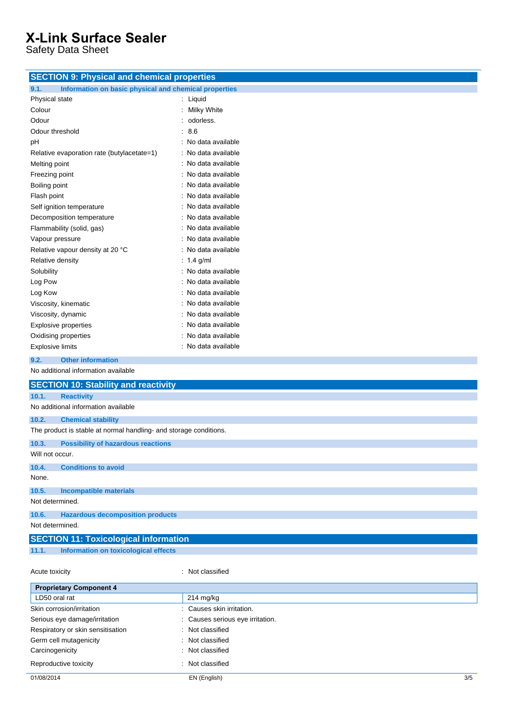Safety Data Sheet

| <b>SECTION 9: Physical and chemical properties</b>                |                                |  |
|-------------------------------------------------------------------|--------------------------------|--|
| 9.1.<br>Information on basic physical and chemical properties     |                                |  |
| Physical state                                                    | : Liquid                       |  |
| Colour                                                            | Milky White                    |  |
| Odour                                                             | odorless.                      |  |
| Odour threshold                                                   | 8.6                            |  |
| pH                                                                | : No data available            |  |
| Relative evaporation rate (butylacetate=1)                        | : No data available            |  |
| Melting point                                                     | No data available              |  |
| Freezing point                                                    | No data available              |  |
| Boiling point                                                     | No data available              |  |
| Flash point                                                       | : No data available            |  |
| Self ignition temperature                                         | : No data available            |  |
| Decomposition temperature                                         | : No data available            |  |
| Flammability (solid, gas)                                         | No data available              |  |
| Vapour pressure                                                   | : No data available            |  |
| Relative vapour density at 20 °C                                  | : No data available            |  |
| Relative density                                                  | : $1.4$ g/ml                   |  |
| Solubility                                                        | : No data available            |  |
| Log Pow                                                           | No data available              |  |
| Log Kow                                                           | : No data available            |  |
| Viscosity, kinematic                                              | : No data available            |  |
| Viscosity, dynamic                                                | : No data available            |  |
| <b>Explosive properties</b>                                       | No data available              |  |
| Oxidising properties                                              | : No data available            |  |
| <b>Explosive limits</b>                                           | : No data available            |  |
| <b>Other information</b><br>9.2.                                  |                                |  |
| No additional information available                               |                                |  |
| <b>SECTION 10: Stability and reactivity</b>                       |                                |  |
| 10.1.<br><b>Reactivity</b>                                        |                                |  |
| No additional information available                               |                                |  |
| 10.2.<br><b>Chemical stability</b>                                |                                |  |
| The product is stable at normal handling- and storage conditions. |                                |  |
| 10.3.<br><b>Possibility of hazardous reactions</b>                |                                |  |
| Will not occur.                                                   |                                |  |
|                                                                   |                                |  |
| <b>Conditions to avoid</b><br>10.4.<br>None.                      |                                |  |
| 10.5.<br><b>Incompatible materials</b>                            |                                |  |
| Not determined.                                                   |                                |  |
| 10.6.<br><b>Hazardous decomposition products</b>                  |                                |  |
| Not determined.                                                   |                                |  |
| <b>SECTION 11: Toxicological information</b>                      |                                |  |
| <b>Information on toxicological effects</b><br>11.1.              |                                |  |
| Acute toxicity                                                    | Not classified<br>÷            |  |
| <b>Proprietary Component 4</b>                                    |                                |  |
| LD50 oral rat                                                     | $214$ mg/kg                    |  |
| Skin corrosion/irritation                                         | Causes skin irritation.        |  |
| Serious eye damage/irritation                                     | Causes serious eye irritation. |  |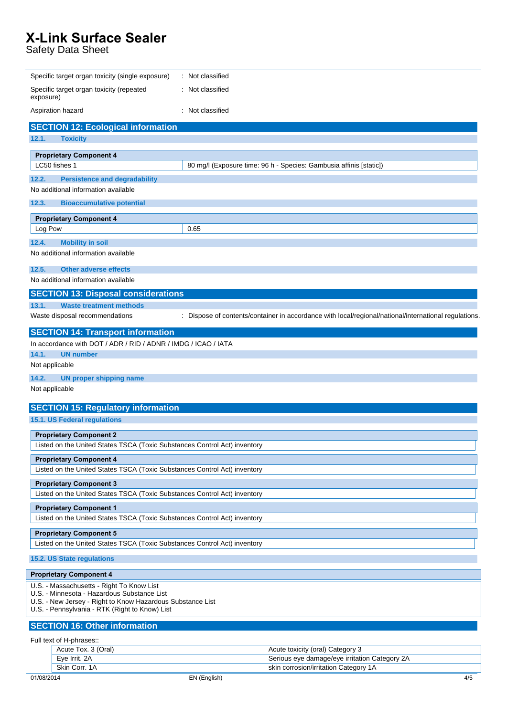Safety Data Sheet

| Specific target organ toxicity (single exposure)                                                          | : Not classified                                                                                      |  |
|-----------------------------------------------------------------------------------------------------------|-------------------------------------------------------------------------------------------------------|--|
| Specific target organ toxicity (repeated<br>exposure)                                                     | Not classified                                                                                        |  |
| Aspiration hazard                                                                                         | Not classified                                                                                        |  |
| <b>SECTION 12: Ecological information</b>                                                                 |                                                                                                       |  |
| 12.1.<br><b>Toxicity</b>                                                                                  |                                                                                                       |  |
| <b>Proprietary Component 4</b>                                                                            |                                                                                                       |  |
| LC50 fishes 1                                                                                             | 80 mg/l (Exposure time: 96 h - Species: Gambusia affinis [static])                                    |  |
| 12.2.<br><b>Persistence and degradability</b>                                                             |                                                                                                       |  |
| No additional information available                                                                       |                                                                                                       |  |
| 12.3.<br><b>Bioaccumulative potential</b>                                                                 |                                                                                                       |  |
| <b>Proprietary Component 4</b>                                                                            |                                                                                                       |  |
| Log Pow                                                                                                   | 0.65                                                                                                  |  |
| 12.4.<br><b>Mobility in soil</b>                                                                          |                                                                                                       |  |
| No additional information available                                                                       |                                                                                                       |  |
| 12.5.<br><b>Other adverse effects</b>                                                                     |                                                                                                       |  |
| No additional information available                                                                       |                                                                                                       |  |
| <b>SECTION 13: Disposal considerations</b>                                                                |                                                                                                       |  |
| 13.1.<br><b>Waste treatment methods</b>                                                                   |                                                                                                       |  |
| Waste disposal recommendations                                                                            | : Dispose of contents/container in accordance with local/regional/national/international regulations. |  |
| <b>SECTION 14: Transport information</b>                                                                  |                                                                                                       |  |
| In accordance with DOT / ADR / RID / ADNR / IMDG / ICAO / IATA                                            |                                                                                                       |  |
| 14.1.<br><b>UN number</b>                                                                                 |                                                                                                       |  |
| Not applicable                                                                                            |                                                                                                       |  |
| 14.2.<br><b>UN proper shipping name</b>                                                                   |                                                                                                       |  |
| Not applicable                                                                                            |                                                                                                       |  |
| <b>SECTION 15: Regulatory information</b>                                                                 |                                                                                                       |  |
| 15.1. US Federal regulations                                                                              |                                                                                                       |  |
| <b>Proprietary Component 2</b>                                                                            |                                                                                                       |  |
| Listed on the United States TSCA (Toxic Substances Control Act) inventory                                 |                                                                                                       |  |
| <b>Proprietary Component 4</b>                                                                            |                                                                                                       |  |
| Listed on the United States TSCA (Toxic Substances Control Act) inventory                                 |                                                                                                       |  |
| <b>Proprietary Component 3</b>                                                                            |                                                                                                       |  |
| Listed on the United States TSCA (Toxic Substances Control Act) inventory                                 |                                                                                                       |  |
| <b>Proprietary Component 1</b>                                                                            |                                                                                                       |  |
| Listed on the United States TSCA (Toxic Substances Control Act) inventory                                 |                                                                                                       |  |
| <b>Proprietary Component 5</b>                                                                            |                                                                                                       |  |
| Listed on the United States TSCA (Toxic Substances Control Act) inventory                                 |                                                                                                       |  |
| 15.2. US State regulations                                                                                |                                                                                                       |  |
| <b>Proprietary Component 4</b>                                                                            |                                                                                                       |  |
| U.S. - Massachusetts - Right To Know List                                                                 |                                                                                                       |  |
| U.S. - Minnesota - Hazardous Substance List<br>U.S. - New Jersey - Right to Know Hazardous Substance List |                                                                                                       |  |
| U.S. - Pennsylvania - RTK (Right to Know) List                                                            |                                                                                                       |  |
| <b>SECTION 16: Other information</b>                                                                      |                                                                                                       |  |
| Full text of H-phrases::                                                                                  |                                                                                                       |  |
| Acute Tox. 3 (Oral)                                                                                       | Acute toxicity (oral) Category 3                                                                      |  |
|                                                                                                           |                                                                                                       |  |
| Eye Irrit. 2A<br>Skin Corr. 1A                                                                            | Serious eye damage/eye irritation Category 2A<br>skin corrosion/irritation Category 1A                |  |